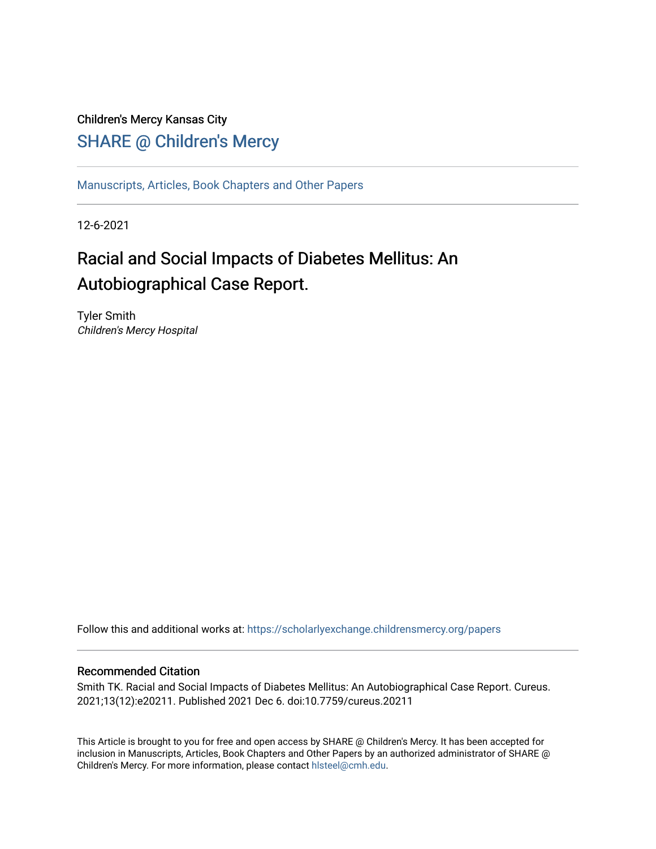## Children's Mercy Kansas City SHARE @ Children's Mercy

[Manuscripts, Articles, Book Chapters and Other Papers](https://scholarlyexchange.childrensmercy.org/papers)

12-6-2021

# Racial and Social Impacts of Diabetes Mellitus: An Autobiographical Case Report.

Tyler Smith Children's Mercy Hospital

Follow this and additional works at: [https://scholarlyexchange.childrensmercy.org/papers](https://scholarlyexchange.childrensmercy.org/papers?utm_source=scholarlyexchange.childrensmercy.org%2Fpapers%2F4176&utm_medium=PDF&utm_campaign=PDFCoverPages) 

#### Recommended Citation

Smith TK. Racial and Social Impacts of Diabetes Mellitus: An Autobiographical Case Report. Cureus. 2021;13(12):e20211. Published 2021 Dec 6. doi:10.7759/cureus.20211

This Article is brought to you for free and open access by SHARE @ Children's Mercy. It has been accepted for inclusion in Manuscripts, Articles, Book Chapters and Other Papers by an authorized administrator of SHARE @ Children's Mercy. For more information, please contact [hlsteel@cmh.edu](mailto:hlsteel@cmh.edu).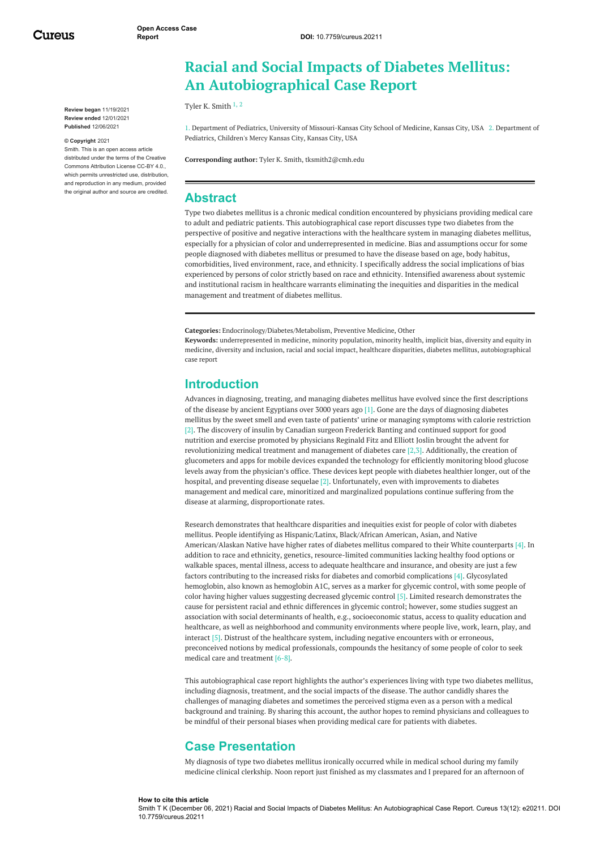Cureus

**Review began** 11/19/2021 **Review ended** 12/01/2021 **Published** 12/06/2021

#### **© Copyright** 2021

Smith. This is an open access article distributed under the terms of the Creative Commons Attribution License CC-BY 4.0., which permits unrestricted use, distribution, and reproduction in any medium, provided the original author and source are credited.

## **Racial and Social Impacts of Diabetes Mellitus: An Autobiographical Case Report**

Tyler K. [Smith](https://www.cureus.com/users/262191-tyler-k-smith) 1, 2

1. Department of Pediatrics, University of Missouri-Kansas City School of Medicine, Kansas City, USA 2. Department of Pediatrics, Children's Mercy Kansas City, Kansas City, USA

**Corresponding author:** Tyler K. Smith, tksmith2@cmh.edu

#### **Abstract**

Type two diabetes mellitus is a chronic medical condition encountered by physicians providing medical care to adult and pediatric patients. This autobiographical case report discusses type two diabetes from the perspective of positive and negative interactions with the healthcare system in managing diabetes mellitus, especially for a physician of color and underrepresented in medicine. Bias and assumptions occur for some people diagnosed with diabetes mellitus or presumed to have the disease based on age, body habitus, comorbidities, lived environment, race, and ethnicity. I specifically address the social implications of bias experienced by persons of color strictly based on race and ethnicity. Intensified awareness about systemic and institutional racism in healthcare warrants eliminating the inequities and disparities in the medical management and treatment of diabetes mellitus.

**Categories:** Endocrinology/Diabetes/Metabolism, Preventive Medicine, Other

**Keywords:** underrepresented in medicine, minority population, minority health, implicit bias, diversity and equity in medicine, diversity and inclusion, racial and social impact, healthcare disparities, diabetes mellitus, autobiographical case report

#### **Introduction**

Advances in diagnosing, treating, and managing diabetes mellitus have evolved since the first descriptions of the disease by ancient Egyptians over 3000 years ago [1]. Gone are the days of diagnosing diabetes mellitus by the sweet smell and even taste of patients' urine or managing symptoms with calorie restriction [2]. The discovery of insulin by Canadian surgeon Frederick Banting and continued support for good nutrition and exercise promoted by physicians Reginald Fitz and Elliott Joslin brought the advent for revolutionizing medical treatment and management of diabetes care [2,3]. Additionally, the creation of glucometers and apps for mobile devices expanded the technology for efficiently monitoring blood glucose levels away from the physician's office. These devices kept people with diabetes healthier longer, out of the hospital, and preventing disease sequelae [2]. Unfortunately, even with improvements to diabetes management and medical care, minoritized and marginalized populations continue suffering from the disease at alarming, disproportionate rates.

Research demonstrates that healthcare disparities and inequities exist for people of color with diabetes mellitus. People identifying as Hispanic/Latinx, Black/African American, Asian, and Native American/Alaskan Native have higher rates of diabetes mellitus compared to their White counterparts [4]. In addition to race and ethnicity, genetics, resource-limited communities lacking healthy food options or walkable spaces, mental illness, access to adequate healthcare and insurance, and obesity are just a few factors contributing to the increased risks for diabetes and comorbid complications [4]. Glycosylated hemoglobin, also known as hemoglobin A1C, serves as a marker for glycemic control, with some people of color having higher values suggesting decreased glycemic control [5]. Limited research demonstrates the cause for persistent racial and ethnic differences in glycemic control; however, some studies suggest an association with social determinants of health, e.g., socioeconomic status, access to quality education and healthcare, as well as neighborhood and community environments where people live, work, learn, play, and interact [5]. Distrust of the healthcare system, including negative encounters with or erroneous, preconceived notions by medical professionals, compounds the hesitancy of some people of color to seek medical care and treatment [6-8].

This autobiographical case report highlights the author's experiences living with type two diabetes mellitus, including diagnosis, treatment, and the social impacts of the disease. The author candidly shares the challenges of managing diabetes and sometimes the perceived stigma even as a person with a medical background and training. By sharing this account, the author hopes to remind physicians and colleagues to be mindful of their personal biases when providing medical care for patients with diabetes.

### **Case Presentation**

My diagnosis of type two diabetes mellitus ironically occurred while in medical school during my family medicine clinical clerkship. Noon report just finished as my classmates and I prepared for an afternoon of

#### **How to cite this article**

Smith T K (December 06, 2021) Racial and Social Impacts of Diabetes Mellitus: An Autobiographical Case Report. Cureus 13(12): e20211. DOI 10.7759/cureus.20211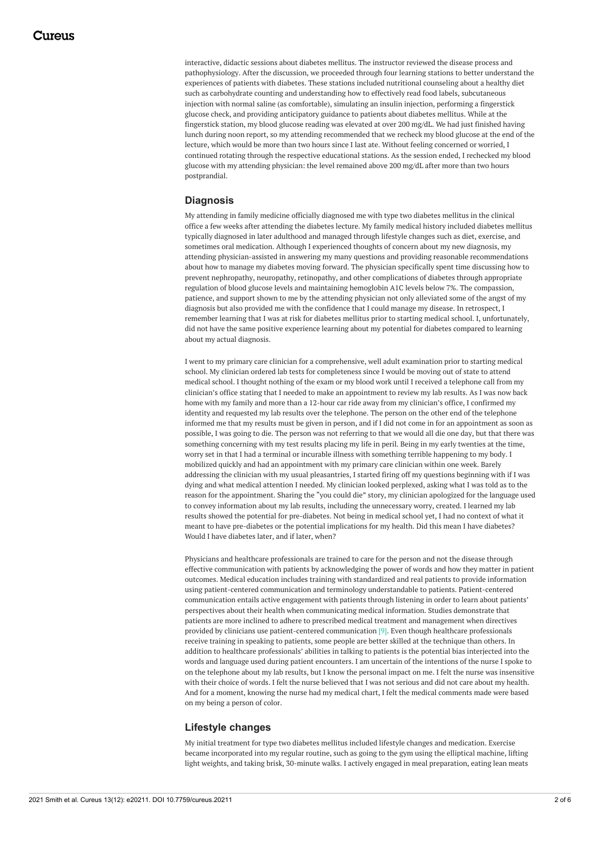interactive, didactic sessions about diabetes mellitus. The instructor reviewed the disease process and pathophysiology. After the discussion, we proceeded through four learning stations to better understand the experiences of patients with diabetes. These stations included nutritional counseling about a healthy diet such as carbohydrate counting and understanding how to effectively read food labels, subcutaneous injection with normal saline (as comfortable), simulating an insulin injection, performing a fingerstick glucose check, and providing anticipatory guidance to patients about diabetes mellitus. While at the fingerstick station, my blood glucose reading was elevated at over 200 mg/dL. We had just finished having lunch during noon report, so my attending recommended that we recheck my blood glucose at the end of the lecture, which would be more than two hours since I last ate. Without feeling concerned or worried, I continued rotating through the respective educational stations. As the session ended, I rechecked my blood glucose with my attending physician: the level remained above 200 mg/dL after more than two hours postprandial.

#### **Diagnosis**

My attending in family medicine officially diagnosed me with type two diabetes mellitus in the clinical office a few weeks after attending the diabetes lecture. My family medical history included diabetes mellitus typically diagnosed in later adulthood and managed through lifestyle changes such as diet, exercise, and sometimes oral medication. Although I experienced thoughts of concern about my new diagnosis, my attending physician-assisted in answering my many questions and providing reasonable recommendations about how to manage my diabetes moving forward. The physician specifically spent time discussing how to prevent nephropathy, neuropathy, retinopathy, and other complications of diabetes through appropriate regulation of blood glucose levels and maintaining hemoglobin A1C levels below 7%. The compassion, patience, and support shown to me by the attending physician not only alleviated some of the angst of my diagnosis but also provided me with the confidence that I could manage my disease. In retrospect, I remember learning that I was at risk for diabetes mellitus prior to starting medical school. I, unfortunately, did not have the same positive experience learning about my potential for diabetes compared to learning about my actual diagnosis.

I went to my primary care clinician for a comprehensive, well adult examination prior to starting medical school. My clinician ordered lab tests for completeness since I would be moving out of state to attend medical school. I thought nothing of the exam or my blood work until I received a telephone call from my clinician's office stating that I needed to make an appointment to review my lab results. As I was now back home with my family and more than a 12-hour car ride away from my clinician's office, I confirmed my identity and requested my lab results over the telephone. The person on the other end of the telephone informed me that my results must be given in person, and if I did not come in for an appointment as soon as possible, I was going to die. The person was not referring to that we would all die one day, but that there was something concerning with my test results placing my life in peril. Being in my early twenties at the time, worry set in that I had a terminal or incurable illness with something terrible happening to my body. I mobilized quickly and had an appointment with my primary care clinician within one week. Barely addressing the clinician with my usual pleasantries, I started firing off my questions beginning with if I was dying and what medical attention I needed. My clinician looked perplexed, asking what I was told as to the reason for the appointment. Sharing the "you could die" story, my clinician apologized for the language used to convey information about my lab results, including the unnecessary worry, created. I learned my lab results showed the potential for pre-diabetes. Not being in medical school yet, I had no context of what it meant to have pre-diabetes or the potential implications for my health. Did this mean I have diabetes? Would I have diabetes later, and if later, when?

Physicians and healthcare professionals are trained to care for the person and not the disease through effective communication with patients by acknowledging the power of words and how they matter in patient outcomes. Medical education includes training with standardized and real patients to provide information using patient-centered communication and terminology understandable to patients. Patient-centered communication entails active engagement with patients through listening in order to learn about patients' perspectives about their health when communicating medical information. Studies demonstrate that patients are more inclined to adhere to prescribed medical treatment and management when directives provided by clinicians use patient-centered communication [9]. Even though healthcare professionals receive training in speaking to patients, some people are better skilled at the technique than others. In addition to healthcare professionals' abilities in talking to patients is the potential bias interjected into the words and language used during patient encounters. I am uncertain of the intentions of the nurse I spoke to on the telephone about my lab results, but I know the personal impact on me. I felt the nurse was insensitive with their choice of words. I felt the nurse believed that I was not serious and did not care about my health. And for a moment, knowing the nurse had my medical chart, I felt the medical comments made were based on my being a person of color.

#### **Lifestyle changes**

My initial treatment for type two diabetes mellitus included lifestyle changes and medication. Exercise became incorporated into my regular routine, such as going to the gym using the elliptical machine, lifting light weights, and taking brisk, 30-minute walks. I actively engaged in meal preparation, eating lean meats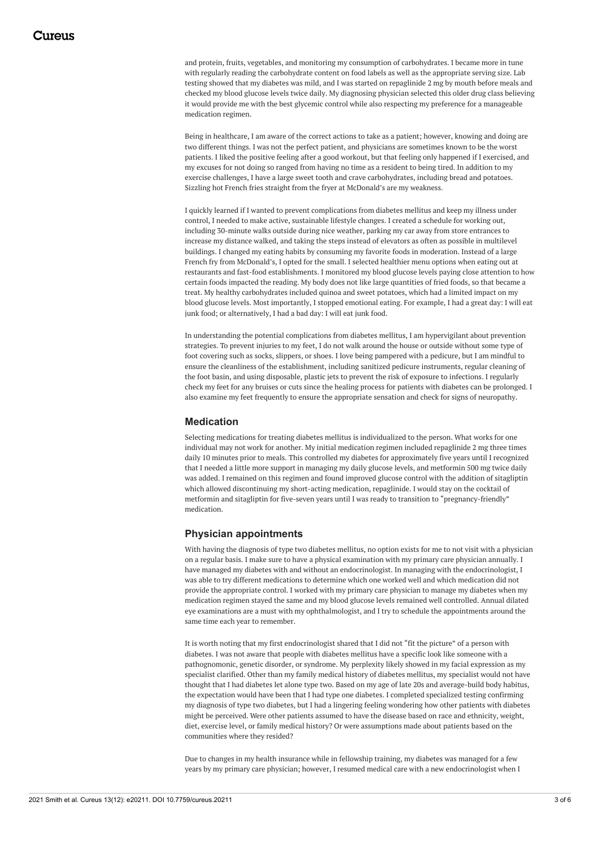and protein, fruits, vegetables, and monitoring my consumption of carbohydrates. I became more in tune with regularly reading the carbohydrate content on food labels as well as the appropriate serving size. Lab testing showed that my diabetes was mild, and I was started on repaglinide 2 mg by mouth before meals and checked my blood glucose levels twice daily. My diagnosing physician selected this older drug class believing it would provide me with the best glycemic control while also respecting my preference for a manageable medication regimen.

Being in healthcare, I am aware of the correct actions to take as a patient; however, knowing and doing are two different things. I was not the perfect patient, and physicians are sometimes known to be the worst patients. I liked the positive feeling after a good workout, but that feeling only happened if I exercised, and my excuses for not doing so ranged from having no time as a resident to being tired. In addition to my exercise challenges, I have a large sweet tooth and crave carbohydrates, including bread and potatoes. Sizzling hot French fries straight from the fryer at McDonald's are my weakness.

I quickly learned if I wanted to prevent complications from diabetes mellitus and keep my illness under control, I needed to make active, sustainable lifestyle changes. I created a schedule for working out, including 30-minute walks outside during nice weather, parking my car away from store entrances to increase my distance walked, and taking the steps instead of elevators as often as possible in multilevel buildings. I changed my eating habits by consuming my favorite foods in moderation. Instead of a large French fry from McDonald's, I opted for the small. I selected healthier menu options when eating out at restaurants and fast-food establishments. I monitored my blood glucose levels paying close attention to how certain foods impacted the reading. My body does not like large quantities of fried foods, so that became a treat. My healthy carbohydrates included quinoa and sweet potatoes, which had a limited impact on my blood glucose levels. Most importantly, I stopped emotional eating. For example, I had a great day: I will eat junk food; or alternatively, I had a bad day: I will eat junk food.

In understanding the potential complications from diabetes mellitus, I am hypervigilant about prevention strategies. To prevent injuries to my feet, I do not walk around the house or outside without some type of foot covering such as socks, slippers, or shoes. I love being pampered with a pedicure, but I am mindful to ensure the cleanliness of the establishment, including sanitized pedicure instruments, regular cleaning of the foot basin, and using disposable, plastic jets to prevent the risk of exposure to infections. I regularly check my feet for any bruises or cuts since the healing process for patients with diabetes can be prolonged. I also examine my feet frequently to ensure the appropriate sensation and check for signs of neuropathy.

#### **Medication**

Selecting medications for treating diabetes mellitus is individualized to the person. What works for one individual may not work for another. My initial medication regimen included repaglinide 2 mg three times daily 10 minutes prior to meals. This controlled my diabetes for approximately five years until I recognized that I needed a little more support in managing my daily glucose levels, and metformin 500 mg twice daily was added. I remained on this regimen and found improved glucose control with the addition of sitagliptin which allowed discontinuing my short-acting medication, repaglinide. I would stay on the cocktail of metformin and sitagliptin for five-seven years until I was ready to transition to "pregnancy-friendly" medication.

#### **Physician appointments**

With having the diagnosis of type two diabetes mellitus, no option exists for me to not visit with a physician on a regular basis. I make sure to have a physical examination with my primary care physician annually. I have managed my diabetes with and without an endocrinologist. In managing with the endocrinologist, I was able to try different medications to determine which one worked well and which medication did not provide the appropriate control. I worked with my primary care physician to manage my diabetes when my medication regimen stayed the same and my blood glucose levels remained well controlled. Annual dilated eye examinations are a must with my ophthalmologist, and I try to schedule the appointments around the same time each year to remember.

It is worth noting that my first endocrinologist shared that I did not "fit the picture" of a person with diabetes. I was not aware that people with diabetes mellitus have a specific look like someone with a pathognomonic, genetic disorder, or syndrome. My perplexity likely showed in my facial expression as my specialist clarified. Other than my family medical history of diabetes mellitus, my specialist would not have thought that I had diabetes let alone type two. Based on my age of late 20s and average-build body habitus, the expectation would have been that I had type one diabetes. I completed specialized testing confirming my diagnosis of type two diabetes, but I had a lingering feeling wondering how other patients with diabetes might be perceived. Were other patients assumed to have the disease based on race and ethnicity, weight, diet, exercise level, or family medical history? Or were assumptions made about patients based on the communities where they resided?

Due to changes in my health insurance while in fellowship training, my diabetes was managed for a few years by my primary care physician; however, I resumed medical care with a new endocrinologist when I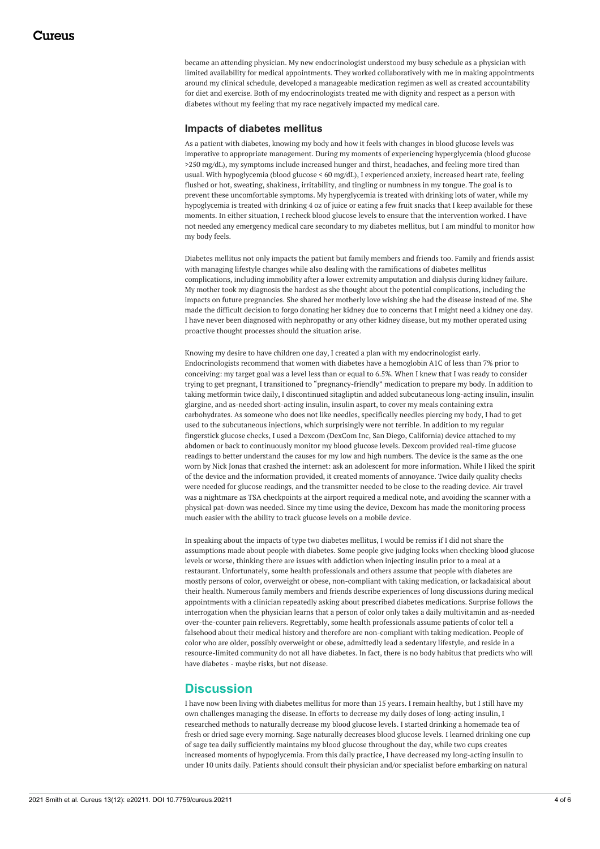became an attending physician. My new endocrinologist understood my busy schedule as a physician with limited availability for medical appointments. They worked collaboratively with me in making appointments around my clinical schedule, developed a manageable medication regimen as well as created accountability for diet and exercise. Both of my endocrinologists treated me with dignity and respect as a person with diabetes without my feeling that my race negatively impacted my medical care.

#### **Impacts of diabetes mellitus**

As a patient with diabetes, knowing my body and how it feels with changes in blood glucose levels was imperative to appropriate management. During my moments of experiencing hyperglycemia (blood glucose >250 mg/dL), my symptoms include increased hunger and thirst, headaches, and feeling more tired than usual. With hypoglycemia (blood glucose < 60 mg/dL), I experienced anxiety, increased heart rate, feeling flushed or hot, sweating, shakiness, irritability, and tingling or numbness in my tongue. The goal is to prevent these uncomfortable symptoms. My hyperglycemia is treated with drinking lots of water, while my hypoglycemia is treated with drinking 4 oz of juice or eating a few fruit snacks that I keep available for these moments. In either situation, I recheck blood glucose levels to ensure that the intervention worked. I have not needed any emergency medical care secondary to my diabetes mellitus, but I am mindful to monitor how my body feels.

Diabetes mellitus not only impacts the patient but family members and friends too. Family and friends assist with managing lifestyle changes while also dealing with the ramifications of diabetes mellitus complications, including immobility after a lower extremity amputation and dialysis during kidney failure. My mother took my diagnosis the hardest as she thought about the potential complications, including the impacts on future pregnancies. She shared her motherly love wishing she had the disease instead of me. She made the difficult decision to forgo donating her kidney due to concerns that I might need a kidney one day. I have never been diagnosed with nephropathy or any other kidney disease, but my mother operated using proactive thought processes should the situation arise.

Knowing my desire to have children one day, I created a plan with my endocrinologist early. Endocrinologists recommend that women with diabetes have a hemoglobin A1C of less than 7% prior to conceiving: my target goal was a level less than or equal to 6.5%. When I knew that I was ready to consider trying to get pregnant, I transitioned to "pregnancy-friendly" medication to prepare my body. In addition to taking metformin twice daily, I discontinued sitagliptin and added subcutaneous long-acting insulin, insulin glargine, and as-needed short-acting insulin, insulin aspart, to cover my meals containing extra carbohydrates. As someone who does not like needles, specifically needles piercing my body, I had to get used to the subcutaneous injections, which surprisingly were not terrible. In addition to my regular fingerstick glucose checks, I used a Dexcom (DexCom Inc, San Diego, California) device attached to my abdomen or back to continuously monitor my blood glucose levels. Dexcom provided real-time glucose readings to better understand the causes for my low and high numbers. The device is the same as the one worn by Nick Jonas that crashed the internet: ask an adolescent for more information. While I liked the spirit of the device and the information provided, it created moments of annoyance. Twice daily quality checks were needed for glucose readings, and the transmitter needed to be close to the reading device. Air travel was a nightmare as TSA checkpoints at the airport required a medical note, and avoiding the scanner with a physical pat-down was needed. Since my time using the device, Dexcom has made the monitoring process much easier with the ability to track glucose levels on a mobile device.

In speaking about the impacts of type two diabetes mellitus, I would be remiss if I did not share the assumptions made about people with diabetes. Some people give judging looks when checking blood glucose levels or worse, thinking there are issues with addiction when injecting insulin prior to a meal at a restaurant. Unfortunately, some health professionals and others assume that people with diabetes are mostly persons of color, overweight or obese, non-compliant with taking medication, or lackadaisical about their health. Numerous family members and friends describe experiences of long discussions during medical appointments with a clinician repeatedly asking about prescribed diabetes medications. Surprise follows the interrogation when the physician learns that a person of color only takes a daily multivitamin and as-needed over-the-counter pain relievers. Regrettably, some health professionals assume patients of color tell a falsehood about their medical history and therefore are non-compliant with taking medication. People of color who are older, possibly overweight or obese, admittedly lead a sedentary lifestyle, and reside in a resource-limited community do not all have diabetes. In fact, there is no body habitus that predicts who will have diabetes - maybe risks, but not disease.

#### **Discussion**

I have now been living with diabetes mellitus for more than 15 years. I remain healthy, but I still have my own challenges managing the disease. In efforts to decrease my daily doses of long-acting insulin, I researched methods to naturally decrease my blood glucose levels. I started drinking a homemade tea of fresh or dried sage every morning. Sage naturally decreases blood glucose levels. I learned drinking one cup of sage tea daily sufficiently maintains my blood glucose throughout the day, while two cups creates increased moments of hypoglycemia. From this daily practice, I have decreased my long-acting insulin to under 10 units daily. Patients should consult their physician and/or specialist before embarking on natural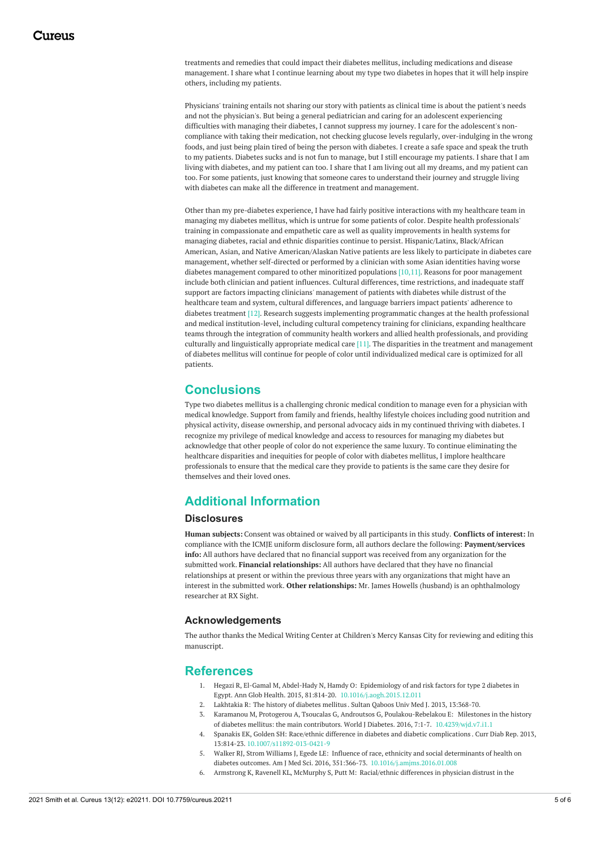treatments and remedies that could impact their diabetes mellitus, including medications and disease management. I share what I continue learning about my type two diabetes in hopes that it will help inspire others, including my patients.

Physicians' training entails not sharing our story with patients as clinical time is about the patient's needs and not the physician's. But being a general pediatrician and caring for an adolescent experiencing difficulties with managing their diabetes, I cannot suppress my journey. I care for the adolescent's noncompliance with taking their medication, not checking glucose levels regularly, over-indulging in the wrong foods, and just being plain tired of being the person with diabetes. I create a safe space and speak the truth to my patients. Diabetes sucks and is not fun to manage, but I still encourage my patients. I share that I am living with diabetes, and my patient can too. I share that I am living out all my dreams, and my patient can too. For some patients, just knowing that someone cares to understand their journey and struggle living with diabetes can make all the difference in treatment and management.

Other than my pre-diabetes experience, I have had fairly positive interactions with my healthcare team in managing my diabetes mellitus, which is untrue for some patients of color. Despite health professionals' training in compassionate and empathetic care as well as quality improvements in health systems for managing diabetes, racial and ethnic disparities continue to persist. Hispanic/Latinx, Black/African American, Asian, and Native American/Alaskan Native patients are less likely to participate in diabetes care management, whether self-directed or performed by a clinician with some Asian identities having worse diabetes management compared to other minoritized populations [10,11]. Reasons for poor management include both clinician and patient influences. Cultural differences, time restrictions, and inadequate staff support are factors impacting clinicians' management of patients with diabetes while distrust of the healthcare team and system, cultural differences, and language barriers impact patients' adherence to diabetes treatment [12]. Research suggests implementing programmatic changes at the health professional and medical institution-level, including cultural competency training for clinicians, expanding healthcare teams through the integration of community health workers and allied health professionals, and providing culturally and linguistically appropriate medical care [11]. The disparities in the treatment and management of diabetes mellitus will continue for people of color until individualized medical care is optimized for all patients.

### **Conclusions**

Type two diabetes mellitus is a challenging chronic medical condition to manage even for a physician with medical knowledge. Support from family and friends, healthy lifestyle choices including good nutrition and physical activity, disease ownership, and personal advocacy aids in my continued thriving with diabetes. I recognize my privilege of medical knowledge and access to resources for managing my diabetes but acknowledge that other people of color do not experience the same luxury. To continue eliminating the healthcare disparities and inequities for people of color with diabetes mellitus, I implore healthcare professionals to ensure that the medical care they provide to patients is the same care they desire for themselves and their loved ones.

### **Additional Information**

#### **Disclosures**

**Human subjects:** Consent was obtained or waived by all participants in this study. **Conflicts of interest:** In compliance with the ICMJE uniform disclosure form, all authors declare the following: **Payment/services info:** All authors have declared that no financial support was received from any organization for the submitted work. **Financial relationships:** All authors have declared that they have no financial relationships at present or within the previous three years with any organizations that might have an interest in the submitted work. **Other relationships:** Mr. James Howells (husband) is an ophthalmology researcher at RX Sight.

#### **Acknowledgements**

The author thanks the Medical Writing Center at Children's Mercy Kansas City for reviewing and editing this manuscript.

### **References**

- 1. Hegazi R, El-Gamal M, Abdel-Hady N, Hamdy O: Epidemiology of and risk factors for type 2 diabetes in Egypt. Ann Glob Health. 2015, 81:814-20. [10.1016/j.aogh.2015.12.011](https://dx.doi.org/10.1016/j.aogh.2015.12.011)
- 2. Lakhtakia R: The history of [diabetes](https://www.ncbi.nlm.nih.gov/labs/pmc/articles/PMC3749019/) mellitus . Sultan Qaboos Univ Med J. 2013, 13:368-70. 3. Karamanou M, Protogerou A, Tsoucalas G, Androutsos G, [Poulakou-Rebelakou](https://dx.doi.org/10.4239/wjd.v7.i1.1) E: Milestones in the history
- of diabetes mellitus: the main contributors. World J Diabetes. 2016, 7:1-7. [10.4239/wjd.v7.i1.1](https://dx.doi.org/10.4239/wjd.v7.i1.1) 4. Spanakis EK, Golden SH: Race/ethnic difference in diabetes and diabetic [complications](https://dx.doi.org/10.1007/s11892-013-0421-9) . Curr Diab Rep. 2013,
- 13:814-23. [10.1007/s11892-013-0421-9](https://dx.doi.org/10.1007/s11892-013-0421-9)
- 5. Walker RJ, Strom Williams J, Egede LE: Influence of race, ethnicity and social determinants of health on diabetes outcomes. Am J Med Sci. 2016, 351:366-73. [10.1016/j.amjms.2016.01.008](https://dx.doi.org/10.1016/j.amjms.2016.01.008)
- Armstrong K, Ravenell KL, McMurphy S, Putt M: [Racial/ethnic](https://dx.doi.org/10.2105/AJPH.2005.080762) differences in physician distrust in the